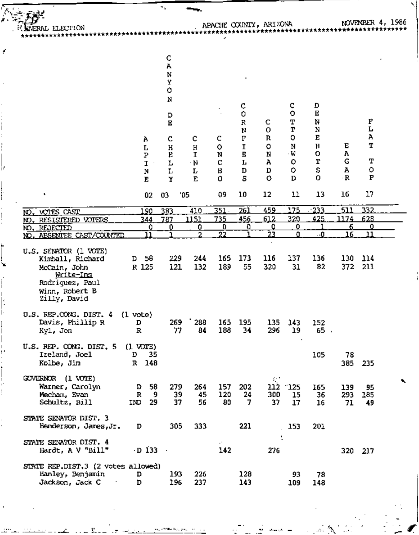FRAL ELECTION \*<del>\*\*</del>\*\*\*\*\*\*\*\*\*\*\*\*\*\*\*\*\*

ý

ъ

# APACHE OCUNIY, ARIZONA<br>\*\*\*\*\*\*\*\*\*\*\*\*\*\*\*\*\*\*\*\*\*\*\*\*\*

×.

NOVEMBER 4, 1986 \*\*\*\*\*\*\*\*\*\*\*\*\*\*\*\*

|                                                                                                                                    | A<br>г<br>Р<br>I<br>N<br>E              | c<br>Α<br>N<br>Y<br>٥<br>N<br>D<br>Е<br>c<br>Η<br>E<br>г<br>r<br>Y | c<br>Η<br>1<br>$\cdot$ N<br>Ŀ<br>Е | с<br>۰<br>N<br>C<br>Β<br>Ō | c<br>0<br>R<br>N<br>P<br>I<br>E<br>Ļ<br>D<br>S | с<br>0<br>R<br>$\circ$<br>N<br>А<br>D<br>$\circ$ | с<br>o<br>т<br>т<br>o<br>N<br>٠W<br>o<br>$\circ$<br>$\mathbf{D}$ | D<br>E<br>Ν<br>N<br>E<br>$\mathbf H$<br>О<br>Т<br>S<br>0 | Е<br>А<br>G<br>А<br>$\cdot$ R | F<br>Г<br>Α<br>т<br>Т<br>$\circ$<br>${\bf P}$ |                |
|------------------------------------------------------------------------------------------------------------------------------------|-----------------------------------------|--------------------------------------------------------------------|------------------------------------|----------------------------|------------------------------------------------|--------------------------------------------------|------------------------------------------------------------------|----------------------------------------------------------|-------------------------------|-----------------------------------------------|----------------|
| ٠                                                                                                                                  | 02                                      | 03                                                                 | $^{\prime}05$                      | 09                         | 10                                             | 12                                               | 11                                                               | 13                                                       | 16                            | 17                                            |                |
| <b>NO. VOTES CAST</b>                                                                                                              | 190                                     | 383                                                                | 410                                | 351                        | 261                                            | 459                                              | 175                                                              | $-233$                                                   | 511                           | 332                                           |                |
| NO. RESI <u>STERED VOTERS</u>                                                                                                      | 344                                     | 787                                                                | 1151                               | 735                        | 456                                            | 612                                              | 320                                                              | 425                                                      | 1174                          | 628                                           |                |
| NO. REJECTED                                                                                                                       | 0                                       | 0                                                                  | 0                                  | 0                          | 0                                              | 0                                                | 0                                                                |                                                          | 6.                            | $\mathbf{0}$                                  |                |
| ABSENTEE CAST/COUNTED<br>NO.                                                                                                       | וו                                      |                                                                    | $\overline{2}$                     | 22                         |                                                | 23                                               | o                                                                | $\cdot 0$                                                | 16                            | 11                                            |                |
| U.S. SENATOR (1 VOTE)<br>Kimball, Richard<br>McCain, John<br><u>Write-Ins</u><br>Rodriguez, Paul<br>Winn, Robert B<br>Zilly, David | 58<br>D<br>R 125                        | 229<br>121                                                         | 244<br>132                         | 165<br>189                 | 173<br>55                                      | 116<br>320                                       | 137<br>31                                                        | 136<br>82                                                | 130<br>372                    | 114<br>211                                    |                |
| U.S. REP.CONG. DIST. 4<br>Davis, Phillip R<br>Kyl, Jon                                                                             | $(1 \text{ vote})$<br>D<br>$\mathbb{R}$ | 269<br>77                                                          | 288<br>84                          | 165<br>188                 | 195<br>34                                      | 135<br>296                                       | 143<br>19                                                        | 152<br>$65$ .                                            |                               |                                               |                |
| U.S. REP. CONG. DIST. 5<br>Ireland, Joel<br>Kolbe, Jim                                                                             | $(1 \text{ WTE})$<br>35<br>D<br>R 148   |                                                                    |                                    |                            |                                                |                                                  |                                                                  | 105                                                      | 78                            | 385 235                                       |                |
| GOVERNOR (1 VOTE)<br>Warner, Carolyn<br>Mecham, Evan<br>Schultz, Bill                                                              | 58<br>D.<br>9<br>R<br>IND<br>29         | 279<br>39<br>37                                                    | 264<br>45<br>56                    | 157<br>120<br>80           | 202<br>24<br>7.                                | 112<br>300<br>37                                 | $-125$<br>15<br>17                                               | 165<br>36<br>16                                          | 139<br>293<br>71              | 95<br>185<br>49                               | $\blacksquare$ |
| STATE SENATOR DIST. 3<br>Henderson, James, Jr.                                                                                     | D                                       | 305                                                                | 333                                |                            | 221                                            |                                                  | 153                                                              | 201                                                      |                               |                                               |                |
| STATE SENATOR DIST. 4<br>Hardt, A V "Bill"                                                                                         | $\cdot$ D 133 $\cdot$                   |                                                                    |                                    | $\mathbf{a}$<br>142        |                                                | ţ<br>276                                         |                                                                  |                                                          |                               | 320 217                                       |                |
| STATE REP.DIST.3 (2 votes allowed)                                                                                                 |                                         |                                                                    |                                    |                            |                                                |                                                  |                                                                  |                                                          |                               |                                               |                |
| Hanley, Benjamin                                                                                                                   | D                                       | 193                                                                | 226                                |                            | 128                                            |                                                  | 93                                                               | 78                                                       |                               |                                               |                |
| Jackson, Jack C.                                                                                                                   | 'n.                                     | 196.                                                               | つつつ                                |                            | 143.                                           |                                                  | פח ד                                                             | 149                                                      |                               |                                               |                |

 $\mathbf{e}_{\mathbf{e}_{\mathbf{e}_{\mathbf{e}}}}$  , where  $\mathbf{e}_{\mathbf{e}_{\mathbf{e}}}$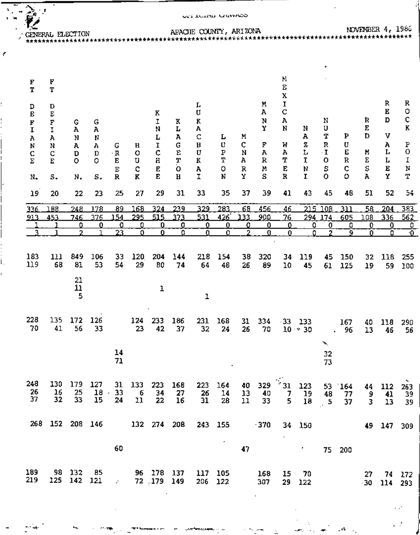| ۹. | . .                    |                    |                       |                             |                        |                                    |                          |                       | <b>CELACION GAINLED</b> |                     |                     |                                          |                       |                                   |                                  |                        |                     |                    |                       |
|----|------------------------|--------------------|-----------------------|-----------------------------|------------------------|------------------------------------|--------------------------|-----------------------|-------------------------|---------------------|---------------------|------------------------------------------|-----------------------|-----------------------------------|----------------------------------|------------------------|---------------------|--------------------|-----------------------|
|    | CENERAL ELECTION       |                    |                       |                             |                        |                                    |                          |                       | APACIE COUNTY, ARIZONA  |                     |                     |                                          |                       |                                   |                                  |                        |                     | NOVEMBER 4, 1986   |                       |
| ۴  |                        |                    |                       |                             |                        |                                    |                          |                       |                         |                     |                     |                                          |                       |                                   |                                  |                        |                     |                    |                       |
|    | $\bf F$<br>T           | F<br>T             |                       |                             |                        |                                    |                          |                       |                         |                     |                     |                                          | И<br>$\mathbf E$<br>χ |                                   |                                  |                        |                     |                    |                       |
|    | D<br>E<br>F            | D<br>Е<br>F        | G                     | G                           |                        |                                    | к<br>I                   | к                     | Ŀ<br>U<br>K             |                     |                     | м<br>А<br>N                              | I<br>C<br>А           |                                   | Ν                                |                        | R                   | R<br>Е<br>D        | R<br>O<br>C           |
|    | I<br>А<br>N            | I.<br>Α<br>N<br>C  | Α<br>N<br>А<br>D      | А<br>N<br>Λ<br>$\mathbf D$  | G<br>$\cdot$ R         | н<br>o                             | N<br>L<br>I<br>¢         | L<br>А<br>G<br>E      | A<br>C<br>Н<br>U        | L<br>U<br>${\tt P}$ | M<br>C<br>N         | Y<br>F<br>A                              | N<br>W<br>Α           | Ν<br>А<br>z<br>L                  | U<br>T<br>R<br>$\mathbf{I}$      | ₽<br>U<br>E            | Ε<br>D<br>И         | v<br>А<br>Ļ        | K<br>P<br>O           |
|    | C<br>E<br>N.           | $\mathbf{E}$<br>s. | o<br>N.               | o<br>s.                     | Е<br>E<br>$\mathbf R$  | U<br>c<br>$\mathbf{K}$             | Η<br>E<br>E              | T<br>O<br>$\mathbf H$ | К<br>A<br>I             | Т<br>Ó<br>N         | Α<br>R<br>Y         | $\bf R$<br>Μ<br>s                        | т<br>E<br>R           | $\mathbf{I}$<br>N<br>$\mathbf{r}$ | o<br>S<br>$\circ$                | $\, {\bf R}$<br>¢<br>o | Ε<br>S<br>A         | Г<br>E<br>Y        | Ι<br>$\mathbb N$<br>Т |
|    | 19                     | 20                 | 22                    | 23                          | 25                     | 27                                 | 29                       | 31                    | 33                      | 35                  | 37                  | 39                                       | 41                    | 43                                | 45                               | 48                     | 51                  | 52                 | 54                    |
|    | 336<br>913             | 188<br>453         | 248<br>746            | 178<br>376                  | 89<br>154              | 168<br>295                         | 324<br>515               | 239<br>373            | 329<br>531              | 283<br>426          | 68<br>133           | 456<br>900                               | 46<br>76              | 215                               | 108<br>294 174                   | 311<br>605             | 58<br>108           | 204<br>336         | 383<br>562            |
|    |                        |                    | 0<br>2                | $\mathbf{0}$                | 0<br>23                | 0<br>0.                            | 0<br>0                   | 0<br>0                | 0<br>0                  | 0<br>$\mathbf 0$    | 0<br>$\overline{2}$ | 0<br>$\bf{0}$                            | 0<br>0                | 0<br>O.                           | 0<br>2                           | 0<br>9                 | 0<br>$\overline{0}$ | 0<br>0.            | 0<br>$\overline{0}$   |
|    | 183<br>119             | 111<br>68          | 849<br>81             | 106<br>53                   | 33<br>54               | 120<br>29                          | 204<br>80                | 144<br>74             | 218<br>64               | 154<br>48           | 38<br>26            | 320<br>89                                | 34<br>10              | 119<br>45                         | 45<br>61                         | 150<br>125             | 32<br>19            | 118<br>59          | 255<br>100            |
|    |                        |                    | 21<br>11<br>5         |                             |                        |                                    | ł                        |                       | ı                       |                     |                     |                                          |                       |                                   |                                  |                        |                     |                    |                       |
|    | 228<br>70              | 41                 | 135 172 126<br>- 56   | 33                          |                        | 23                                 | 124 233<br>42            | 186<br>37             | 32                      | 231 168<br>24       | 31<br>26            | 334<br>- 70                              |                       | $-33$ 133<br>$10 \times 30$       |                                  | 167<br>. 96            | 40<br>13            | 118<br>46          | 290<br>56             |
|    |                        |                    |                       |                             | 14<br>71               |                                    |                          |                       |                         |                     |                     |                                          |                       |                                   | ×.<br>32<br>73                   |                        |                     |                    |                       |
|    | 248<br>$\frac{26}{37}$ | 130<br>16<br>32    | 179<br>25<br>33       | 127<br>18<br>15             | 33<br>$\epsilon$<br>24 | 31 133 223<br>$\overline{6}$<br>11 | 34<br>22                 | 168<br>27<br>16       | 26<br>31                | 223 164<br>14<br>28 | 13<br>11            | 40 329 $\frac{1}{31}$<br>$\frac{40}{33}$ | $\frac{7}{5}$         | 123<br>19<br>18                   | 48<br>$\overline{\phantom{a}}$ 5 | 53 164<br>77<br>37     | 9<br>3.             | 44 112<br>41<br>13 | 263<br>39<br>39       |
|    |                        |                    |                       | 268 152 208 146 132 274 208 |                        |                                    |                          |                       |                         | 243 155             |                     | $-370$                                   |                       | 34 150                            |                                  |                        |                     | 49 147 309         |                       |
|    |                        |                    |                       |                             | 60                     |                                    |                          |                       |                         | ٠                   | 47                  |                                          |                       | У.,                               |                                  | 75 200                 |                     |                    |                       |
|    | 189<br>219             |                    | 98 132<br>125 142 121 | - 85                        | <b>Contractor</b>      |                                    | 96 178 137<br>72 179 149 |                       | 206 122                 | 117 105             |                     | 168<br>307                               |                       | 15 70<br>29 122                   |                                  |                        | 27.                 | $-30$ $114$        | 74 172<br>293         |

¢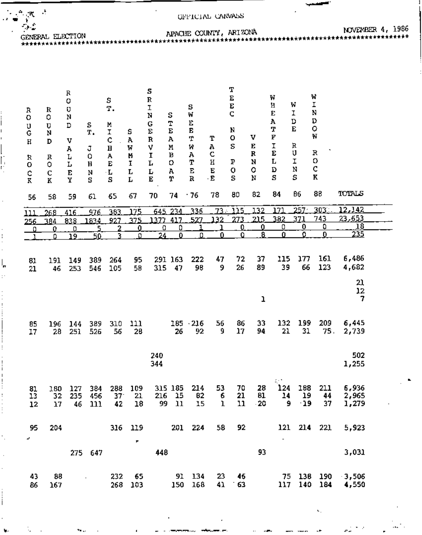APACHE COUNTY, ARIZONA

 $\ddot{\phantom{a}}$ 

GENERAL ELECTION

 $\mathbb{Z}^{\mathsf{A}}$  ,  $\mathbb{X}^{\mathsf{A}}$  ,  $\mathbb{Z}$ 

Ÿ  $\tau_{\rm esc}$ 

r, ŋ

 $\ddot{\phantom{a}}$  $\mathbf{I}$  $\overline{a}$ 

> ١,  $\cdot$

i

į i NOVEMBER 4, 1986

n.

سہ

| R<br>o<br>U<br>Ģ<br>$\rm H$<br>R<br>О<br>c<br>$\bf{R}$ | R<br>o<br>U<br>N<br>D<br>R<br>Q<br>$\mathbf C$<br>K | R<br>0<br>Q<br>N<br>D<br>v<br>Α<br>L<br>L<br>E<br>Y | s<br>T.<br>J<br>0<br>Ħ<br>N<br>S | s<br>Τ.<br>М<br>I<br>¢<br>Η<br>А<br>E<br>۰L<br>S | s<br>Α<br>W<br>N<br>I<br>L<br>Ļ | S<br>R<br>ľ<br>N<br>G<br>E<br>R<br>٧<br>I<br>L<br>L<br>$\mathbf E$ | s<br>T<br>E<br>Α<br>Ν<br>В<br>о<br>Α<br>Υ | S<br>W<br>E<br>Е<br>Τ<br>И<br>Α<br>т<br>E<br>R | Т<br>А<br>c<br>Η<br>E<br>$\cdot$ E | T<br>E<br>E<br>C<br>N<br>o<br>S<br>P<br>0<br>s | v<br>Е<br>R<br>N<br>o<br>N<br>82 | W<br>Η<br>E<br>Α<br>T<br>F<br>I<br>E<br>L<br>D<br>S<br>84 | W<br>I<br>D<br>${\bf E}$<br>R<br>U<br>I<br>N<br>S<br>86 | W<br>I<br>N<br>D<br>o<br>W<br>R<br>0<br>c<br>K<br>88 | TOTALS                  |  |
|--------------------------------------------------------|-----------------------------------------------------|-----------------------------------------------------|----------------------------------|--------------------------------------------------|---------------------------------|--------------------------------------------------------------------|-------------------------------------------|------------------------------------------------|------------------------------------|------------------------------------------------|----------------------------------|-----------------------------------------------------------|---------------------------------------------------------|------------------------------------------------------|-------------------------|--|
| 56                                                     | 58                                                  | 59                                                  | 61                               | 65                                               | 67                              | 70                                                                 | 74                                        | .76                                            | 78                                 | 80                                             |                                  |                                                           |                                                         |                                                      |                         |  |
| 111                                                    | 268                                                 | 416                                                 | 976                              | 383                                              | 175                             |                                                                    | 645 234                                   | 336                                            | 73.                                | 115                                            | 132                              | נלב                                                       | 257                                                     | 303.                                                 | 12,142                  |  |
| 256                                                    | 384                                                 | 838                                                 | 1834                             | 927                                              | 375<br><u>0</u>                 | 1377<br>$\overline{0}$                                             | 417<br><u>0</u>                           | 527<br>٦                                       | 132                                | 273<br>0                                       | 215<br>0                         | 382<br>$\overline{0}$                                     | 371<br>$\overline{\mathbf{0}}$                          | 743<br>0                                             | <u>23,653</u><br>18     |  |
| <u>ہ</u><br>$\overline{1}$                             | <u>0</u><br>0                                       | <u>0</u><br>19                                      | 5<br>50                          | 2<br>٦                                           | Ω                               | 24                                                                 | $\overline{0}$                            | Ω                                              | $\bf{0}$                           | 0                                              | ā                                | Ō                                                         | ö                                                       | $\mathbf 0$                                          | 235                     |  |
| 81<br>21                                               | 191<br>46                                           | 149<br>253                                          | 389<br>546                       | 264<br>105                                       | 95<br>58                        | 315                                                                | 291 163<br>47                             | 222<br>98                                      | 47<br>9                            | 72<br>26                                       | 37<br>89                         | 115<br>39                                                 | 177<br>66                                               | 161<br>123                                           | 6,486<br>4,682          |  |
|                                                        |                                                     |                                                     |                                  |                                                  |                                 |                                                                    |                                           |                                                |                                    |                                                | ı                                |                                                           |                                                         |                                                      | 21<br>12<br>7           |  |
| 85<br>17                                               | 196<br>28                                           | 144<br>251                                          | 389<br>526                       | 310<br>56                                        | 111<br>28                       |                                                                    | 185<br>26                                 | $-216$<br>92                                   | 56<br>9                            | 86<br>17                                       | 33<br>94                         | 132<br>21                                                 | 199<br>31                                               | 209<br>75.                                           | 6,445<br>2,739          |  |
|                                                        |                                                     |                                                     |                                  |                                                  |                                 | 240<br>344                                                         |                                           |                                                |                                    |                                                |                                  |                                                           |                                                         |                                                      | 502<br>1,255            |  |
| 81<br>13<br>12                                         | 180<br>32<br>17                                     | 127<br>46                                           | 384<br>235 456<br>$111$          | 288<br>37 <sup>°</sup><br>42                     | 109<br>21<br>18                 | 216<br>99                                                          | 315 185<br>- 15<br>11                     | 214<br>82<br>15                                | 53<br>6<br>$\mathbf 1$             | 70<br>21<br>11                                 | 28<br>81<br>$-20$                | 124<br>14<br>9                                            | 188<br>19<br>$-19$                                      | 211<br>44<br>37                                      | 6,936<br>2,965<br>1,279 |  |
|                                                        |                                                     |                                                     |                                  |                                                  |                                 |                                                                    |                                           |                                                |                                    |                                                |                                  |                                                           |                                                         |                                                      |                         |  |
| 95<br>×,                                               | 204                                                 |                                                     |                                  |                                                  | 316 119<br>,                    |                                                                    |                                           | 201 224                                        | 58                                 | 92                                             |                                  |                                                           |                                                         | 121 214 221                                          | 5,923                   |  |
|                                                        |                                                     |                                                     | 275 647                          |                                                  |                                 | 448                                                                |                                           |                                                |                                    |                                                | 93                               |                                                           |                                                         |                                                      | 3,031                   |  |
| 43<br>86                                               | 88<br>167                                           |                                                     | $\blacksquare$                   | 232<br>268                                       | 65<br>103                       |                                                                    | 91<br>150                                 | 134<br>168                                     | 23<br>41                           | 46<br>63                                       |                                  | 75<br>117                                                 | 138<br>140                                              | 190<br>184                                           | $-3,506$<br>4,550       |  |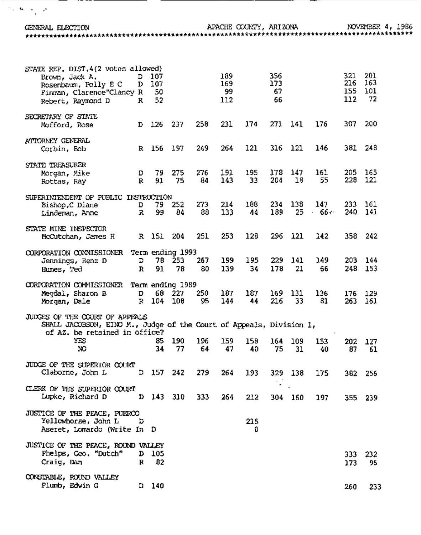APACHE COUNTY, ARIZONA NOVEMBER 4, 1986 GENERAL ELECTION STATE REP. DIST.4(2 votes allowed)  $D$  107 Brown, Jack A. כלב Rosenbaum, Polly E C  $D = 107$ Finman, Clarence"Clancy R Rebert, Raymond D  $\mathbb{R}$ SECRETARY OF STATE Nofford, Rose D. ATTORNEY GENERAL R 156 Corbin, Bob STATE TREASURER Morgan, Mike D R Rottas, Ray SUPERINTENDENT OF PUBLIC INSTRUCTION Bishop.C Diane D 25. 240 - $\mathbf{R}$  $-66.$ Lindeman, Anne STATE MINE INSPECTOR 358 242 R 151 204 McCutchan, James H CORPORATION CONNISSIONER Term ending 1993 78 253 203 144 Jennings, Renz D D  $\mathbf R$ 248 153 Humes, Ted CORPORATION COMMISSIONER Term ending 1989 Megdal, Sharon B D. 68 227 176 129 R 104 Morgan, Dale 263 161 JUDGES OF THE COURT OF APPEALS SHALL JACOBSON, EINO M., Judge of the Court of Appeals, Division 1, of AZ. be retained in office? **YES** 153. 202 127 NO. JUDGE OF THE SUPERIOR COURT D 157 Claborne, John L 382 256 .<br>او CLERK OF THE SUPERIOR COURT Lupke, Richard D  $D$  143 310 355 239 JUSTICE OF THE PEACE, PUERCO Yellowhorse, John L D Aseret, Lomardo (Write In D Û

 $\mathcal{A}=\mathcal{A}+\mathcal{A}$ 

JUSTICE OF THE PEACE, ROUND VALLEY Phelps, Geo. "Dutch"  $D$  105 Craig, Dan  $\mathbf{R}$ CONSTABLE, ROUND VALLEY Plumb, Edwin G D.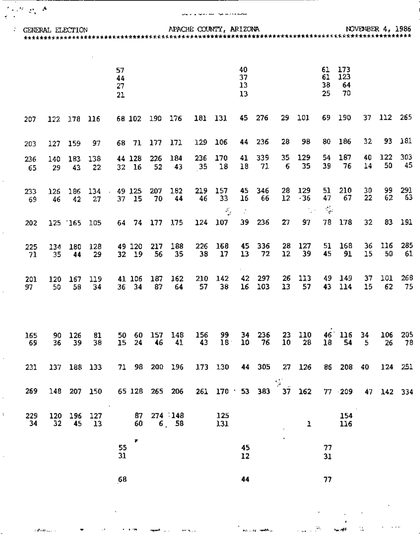**GENERAL ELECTION** 

 $\mathcal{O}(\mathcal{F}(\mathcal{Q}))$  A

 $\frac{1}{2}$  .

 $\overline{a}$ 

 $\bar{\xi}$ 

 $\tau$  group  $\zeta_{\rm{max}}$  .

 $\mathcal{A}$ 

 $\sim 100$ 

ment and

 $\mathbf{r} \in \mathbb{R}^{n \times n}$  .

#### فتستحدث فيار المتحدثيا والراويل

APACHE COUNTY, ARIZONA

 $\epsilon$ 

 $\sim -16$ 

 $\mathbb{Q}_\bullet$ 

 $\sim$   $\sim$   $\sim$ 

 $\mathcal{L}_{\text{max}} \in \mathbb{R}^n$ 

n<br>The contract <del>and th</del>e co

|             |           |           |                   | 57                   |                 |               |                                   |                                                                    |                 | 40             |            |                       |              | 61                               | 173             |          |           |             |
|-------------|-----------|-----------|-------------------|----------------------|-----------------|---------------|-----------------------------------|--------------------------------------------------------------------|-----------------|----------------|------------|-----------------------|--------------|----------------------------------|-----------------|----------|-----------|-------------|
|             |           |           |                   | 44<br>27<br>21       |                 |               |                                   |                                                                    |                 | 37<br>13<br>13 |            |                       |              | 61<br>38<br>25                   | 123<br>64<br>70 |          |           |             |
| 207         | 122       | 178       | 116               |                      | 68 102          | 190 176       |                                   | 181 131                                                            |                 | 45             | 276        | 29                    | 101          | 69                               | 190             | 37       | 112       | 265         |
| 203         | 127       | 159       | 97                |                      | 68 71           | 177           | 171                               | 129                                                                | 106             | 44             | 236        | 28                    | 98           | 80                               | 186             | 32       | 93.       | 181         |
| 236<br>65   | 140<br>29 | 183<br>43 | 138<br>22         |                      | 44 128<br>32 16 | 226<br>52     | 184<br>43                         | 236<br>35                                                          | 170<br>18       | 41<br>18       | 339<br>71  | 35<br>6               | 129<br>35    | 54<br>39                         | 187<br>76       | 40<br>14 | 122<br>50 | 303<br>45   |
| 233<br>-69  | 126<br>46 | 186<br>42 | 134<br>27         | $\blacksquare$<br>37 | 49 125<br>15    | 207<br>70     | 182<br>44                         | 219<br>46                                                          | 157<br>33<br>K, | 45<br>16<br>Ż, | 346<br>66  | 28<br>12              | 129<br>$-36$ | 51<br>47<br>$\frac{1}{\sqrt{2}}$ | 210<br>67       | 30<br>22 | 99<br>62  | 291<br>- 63 |
| 202         |           | 125 165   | 105               |                      |                 | 64 74 177 175 |                                   | 124                                                                | 107             | 39             | 236        | 27                    | 97           | 78                               | 178             | 32       | 83.       | 191         |
| 225<br>-71  | 134<br>35 | 180<br>44 | 128<br>29         |                      | 49 120<br>32 19 | 217<br>56     | 188<br>35                         | 226<br>38                                                          | 168<br>17       | 45<br>13       | 336<br>72  | 28<br>12              | 127<br>39    | 51<br>45                         | 168<br>91       | 36<br>15 | 116<br>50 | 285<br>61   |
| 201<br>97   | 120<br>50 | 167<br>56 | 119<br>34         | 36                   | 41 106<br>- 34  | 187<br>87     | 162<br>64                         | 210<br>57                                                          | 142<br>38       | 42<br>16       | 297<br>103 | 26<br>13              | 113<br>57    | 49<br>43                         | 149<br>114      | 37<br>15 | 101<br>62 | 268<br>75   |
| 165<br>- 69 | 90<br>36  | 126<br>39 | 81<br>38          | 50<br>15             | 60<br>24        | 157<br>46     | 148<br>41                         | 156<br>43                                                          | 99<br>$18+$     | 34<br>10       | 236<br>76  | 23<br>10              | 110<br>28    | 46<br>18                         | 116<br>54       | 34<br>5  | 106<br>26 | 205<br>78   |
| 231         |           |           |                   |                      |                 |               |                                   | 137 188 133 71 98 200 196 173 130 44 305 27 126 86 208 40 124 251  |                 |                |            |                       |              |                                  |                 |          |           |             |
| 269         |           |           |                   | $\sim 10$            |                 |               |                                   | 148 207 150 65 128 265 206 261 170 53 383 37 162 77 209 47 142 334 |                 |                |            | $\sim$                |              |                                  |                 |          |           |             |
| 229<br>34   | 32        | 45        | 120 196 127<br>13 |                      | 60              |               | $87 \quad 274 \quad 148$<br>6, 58 |                                                                    | 125<br>131      |                |            |                       | ı            |                                  | 154<br>116      |          |           |             |
|             |           |           |                   | 55<br>31             | ▼               |               |                                   |                                                                    |                 | 45<br>12       |            | $\tilde{\phantom{a}}$ |              | 77<br>31                         |                 |          |           |             |
|             |           |           |                   | 68                   |                 |               |                                   |                                                                    |                 | 44             |            |                       |              | 77                               |                 |          |           |             |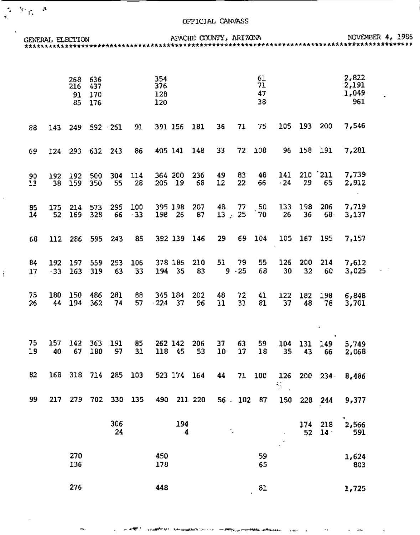$\frac{1}{2}$  ,  $\frac{1}{2}$  ,  $\frac{1}{2}$  ,  $\frac{1}{2}$ 

 $\overline{\phantom{a}}$ 

 $\frac{1}{3}$ 

|           |              |                            |                    |           | GENERAL ELECTION APACHE COUNTY, ARIZONA |                          |             |           |                    |             |                      |                             |           |                        |                                | NOVEMBER 4, 1986                  |
|-----------|--------------|----------------------------|--------------------|-----------|-----------------------------------------|--------------------------|-------------|-----------|--------------------|-------------|----------------------|-----------------------------|-----------|------------------------|--------------------------------|-----------------------------------|
|           |              | 268 636<br>216<br>91<br>85 | -437<br>170<br>176 |           |                                         | 354<br>376<br>128<br>120 |             |           |                    |             | 61<br>71<br>47<br>38 |                             |           |                        | 2,822<br>2,191<br>1,049<br>961 | ٠                                 |
| 88        | 143          |                            | 249 592 261        |           | 91                                      | 391 156 181              |             |           | 36                 | 71          | 75                   | 105                         | 193       | 200                    | 7,546                          |                                   |
| 69        | 124          | 293                        | 632                | -243      | 86                                      | 405 141 148              |             |           | 33                 |             | 72 108               | 96                          | 158       | 191                    | 7,281                          |                                   |
| 90<br>13  | 38           | 192 192<br>159             | 500<br>350         | 304<br>55 | 114<br>28                               | 364 200<br>205 19        |             | 236<br>58 | 49<br>12           | 83<br>22    | 48<br>66             | 141<br>$\cdot 24$           | 29        | $210$ $211$<br>65      | 7,739<br>2,912<br>$\sim$       |                                   |
| 85<br>14  | 175<br>52    | 214<br>169                 | 573<br>328         | 295<br>66 | 100<br>$-33$                            | 395 198<br>198 26        |             | 207<br>87 | 48<br>$13 \div 25$ | 77          | 50<br>70             | 133<br>26                   | 198<br>36 | 206<br>68.             | 7,719<br>3,137                 |                                   |
| 68        |              | 112 286 595                |                    | 243       | 85                                      | 392 139                  |             | 146       | 29                 | 69.         | 104                  |                             |           | 105 167 195            | 7,157                          |                                   |
| 84<br>17  | 192<br>$-33$ | 197<br>163                 | 559<br>319         | 293<br>63 | 106<br>33                               | 378 186<br>194 35        |             | 210<br>83 | 51.<br>9.          | 79<br>$-25$ | 55<br>68             | 126<br>30                   | 200<br>32 | 214<br>60              | 7,612<br>3,025                 | $\mathcal{L} \subset \mathcal{L}$ |
| 75.<br>26 | 44           | 180 150<br>194             | 486<br>362         | 281<br>74 | 88<br>57                                | 345 184<br>$-224$ 37     |             | 202<br>96 | 48<br>11           | 72<br>31    | 41<br>81             | 122<br>37                   | 182<br>48 | 198<br>78              | 6,848<br>3,701                 |                                   |
| 75<br>19  | 157<br>40    | 142<br>67                  | 363<br>180         | 191<br>97 | 85<br>31                                | 262 142<br>118 45        |             | 206<br>53 | 37<br>10           | 63<br>17    | 59<br>18             | 104<br>35                   | 131<br>43 | $\bullet$<br>149<br>66 | 5,749<br>2,068                 |                                   |
| 82        | 168          |                            | 318 714 285        |           | 103                                     | 523 174 164              |             |           | 44                 | 71          | 100                  | $\mathcal{F}_{\mathcal{A}}$ |           | 126 200 234            | 8,486                          |                                   |
| 99        | 217          |                            | 279 702 330 135    |           |                                         |                          | 490 211 220 |           |                    | 56.102.87   |                      | 150                         |           | 228 244                | 9,377                          |                                   |
|           |              |                            |                    | 306<br>24 |                                         |                          | 194<br>4    |           | ١.                 |             |                      | $\mathbb{Z}^n$              | 174<br>52 | 218<br>14 <sup>°</sup> | 2,566<br>591                   |                                   |
|           |              | 270<br>136                 |                    |           |                                         | 450<br>178               |             |           |                    |             | 59<br>65             |                             |           |                        | 1,624<br>803                   |                                   |
|           |              | 276                        |                    |           |                                         | 448                      |             |           |                    |             | 81                   |                             |           |                        | 1,725                          |                                   |

المستحدث والمراقبة

 $\mathbf{r}$ 

٠.

.......

 $\mathcal{A}^{\pm}$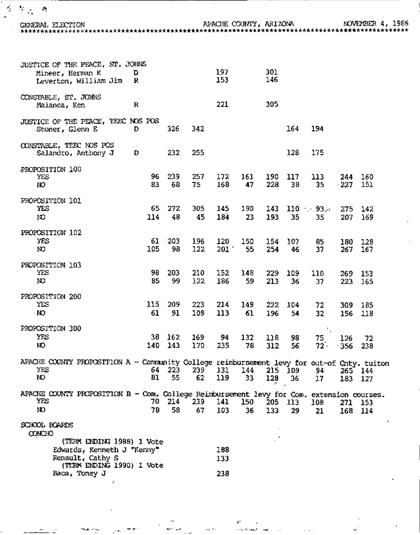$\mathcal{O}(\mathcal{M}_{\mathcal{A}})$  . A

 $\mathbb{R}^2$ 

J,

APACHE COUNTY, ARIZONA<br>\*\*\*\*\*\*\*\*\*\*\*\*\*\*\*\*\*\*\*\*\*\*\*\*\*\*\*\*

NOVEMBER 4, 1986<br>\*\*\*\*\*\*\*\*\*\*\*\*\*\*\*\*\*\*\*\*

| JUSTICE OF THE PEACE, ST. JOHNS<br>Mineer, Herman K<br>Leverton, William Jim                             | D<br>R     |              |            | 197<br>153     |           | 301<br>146 |               |                        |                    |            |
|----------------------------------------------------------------------------------------------------------|------------|--------------|------------|----------------|-----------|------------|---------------|------------------------|--------------------|------------|
| CONSTABLE, ST. JOHNS<br>Malanca, Ken                                                                     | R          |              |            | 221            |           | 305        |               |                        |                    |            |
| JUSTICE OF THE PEACE, TEEC NOS POS<br>Stoner, Glenn E                                                    | ۰D         | 326          | 342        |                |           |            | 164           | 194                    |                    |            |
| CONSTABLE, TEEC NOS POS<br>Salandro, Anthony J                                                           | D          | 232          | 255        |                |           |            | 128           | 175                    |                    |            |
| PROPOSITION 100<br>YËS<br>ю                                                                              | 96<br>83   | 239<br>68    | 257<br>75  | 172<br>168     | 161<br>47 | 190<br>228 | 117<br>38     | 113.<br>35             | 244<br>$-227$      | 160<br>151 |
| PROPOSITION 101<br>YES<br>N)                                                                             | 65<br>114  | 272<br>48    | 305<br>45  | 145<br>184     | 190<br>23 | 143<br>193 | 35            | $110 \div 93.4$<br>35. | 275 142<br>207     | 169        |
| PROPOSITION 102<br>YES<br>NO.                                                                            | 105        | 61 203<br>98 | 196<br>122 | 120<br>$201 -$ | 150<br>55 | 154<br>254 | 107<br>46     | 85<br>37               | 180<br>267         | 128<br>167 |
| PROPOSITION 103<br>YES<br>NO                                                                             | 98<br>85   | 203<br>99    | 210<br>122 | 152<br>186     | 148<br>59 | 229<br>213 | 109<br>36     | 110<br>37              | 269 153<br>223     | -165       |
| PROPOSITION 200<br>YES<br><b>NO</b>                                                                      | 115<br>61  | 209<br>91    | 223<br>109 | 214<br>113     | 149<br>61 | 222<br>196 | 104<br>54     | 72<br>32               | 309<br>156         | 185<br>118 |
| PROPOSITION 300<br>YES<br>ю                                                                              | 38.<br>140 | 162<br>143   | 169<br>170 | 94<br>235      | 132<br>78 | 118<br>312 | 98<br>56      | ٠.<br>75.<br>72.       | 126<br>$-356$      | 72<br>238  |
| APACHE COUNTY PROPOSITION A - Community College reimbursement levy for out-of Cnty. tuiton<br>YES<br>NO. | 64<br>81   | 223<br>55    | 239<br>62  | 131<br>119     | 144<br>33 | 128        | 215 109<br>36 | 94<br>17               | 265 144<br>183 127 |            |
| APACHE COUNTY PROPOSITION B - Com. College Reimbursement levy for Com. extension courses.<br>YES<br>N)   | 78         | 70 214<br>58 | 239<br>67  | 141<br>103     | 150<br>36 | 133        | 205 113<br>29 | 109<br>21              | 271<br>168 114     | - 153      |
| SCHOOL BOARDS<br><b>CONCHO</b>                                                                           |            |              |            |                |           |            |               |                        |                    | ٠          |
| (TERM ENDING 1988) 1 Vote<br>Edwards, Kenneth J "Kenny"<br>Renault, Cathy S<br>(TERM ENDING 1990) I Vote |            |              |            | 168<br>133     |           |            |               |                        |                    |            |
| Baca, Toney J                                                                                            |            |              |            | 238            |           |            |               |                        |                    |            |

c

 $\sim$   $\sim$   $\sim$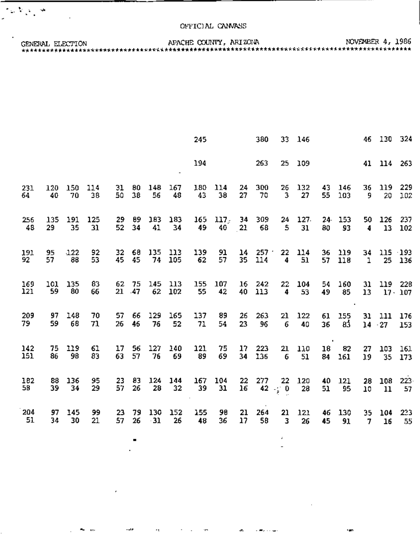$\mathcal{O}(\mathcal{O}_\mathcal{O})$  ,  $\mathcal{O}(\mathcal{O})$ 

GENERAL ELECTION

|            |           |           |          |          |              |           |              | 245       |                  |    | 380               | 33.                | 146       |          |            |              | 46 130 324                |         |
|------------|-----------|-----------|----------|----------|--------------|-----------|--------------|-----------|------------------|----|-------------------|--------------------|-----------|----------|------------|--------------|---------------------------|---------|
|            |           |           |          |          |              |           |              | 194       |                  |    | 263               | 25                 | 109       |          |            |              | 41 114 263                |         |
| 231        | 120       | 150       | 114      | 31       | 80           | 148       | 167          | 180       | 114              | 24 | 300               | 26                 | 132       | 43       | 146        | 36           | 119                       | 229     |
| 64         | 40        | 70        | 38       | 50       | 38           | 56        | 48           | 43        | 38               | 27 | 70                | $\overline{3}$     | 27        | 55       | 103        | 9.           | 20                        | 102     |
| 256        | 135       | 191       | 125      | 29.      | 89           | 183       | 183          | 165       | 117 <sub>5</sub> | 34 | -309              | 24                 | 127.      | 80       | 24.153     | 50           | 126                       | 237     |
| 48         | 29        | 35        | 31       | 52       | 34           | 41        | 34           | 49        | 40               | 21 | 68                | 5                  | 31        |          | 93         | 4            | 13                        | 102     |
| 191<br>92  | 95<br>57  | 122<br>88 | 92<br>53 | 32<br>45 | 68<br>45     | 135<br>74 | 113<br>105   | 139<br>62 | 91<br>57         | 35 | $14 - 257$<br>114 | 22<br>4            | 114<br>51 | 36<br>57 | 119<br>118 | $\mathbf{1}$ | 34 115 193                | 25 136  |
| 169<br>121 | 101<br>59 | 135<br>80 | 83<br>66 | 21       | 62 75<br>-47 | 145<br>62 | - 113<br>102 | 155<br>55 | 107<br>42        | 40 | 16 242<br>113     | 22<br>4            | 104<br>53 | 54<br>49 | 160<br>85  | 31<br>13     | 119 228<br>$17 \cdot 107$ |         |
| 209        | 97        | 148       | 70       | 57       | 66           | 129       | 165          | 137       | 89               | 26 | 263               | 21                 | 122       | 61       | 155        | 31           | 111                       | 176     |
| 79.        | 59        | 68        | 71       | 26       | 46           | 76        | 52           | 71        | 54               | 23 | 96                | 6                  | 40        | 36       | 83         |              | $14 - 27$                 | 153     |
| 142        | 75        | 119       | 61       | 17       | 56           | 127       | 140          | 121       | 75               | 17 | 223               | 21                 | 110       | 18       | 82         | 27           | 103                       | 161     |
| 151        | 86        | 98        | 83       | 63       | 57           | 76        | 69           | 89        | 69               | 34 | 136               | 6                  | 51        | 84       | 161        | 19           | 35                        | 173     |
| 182        | 88        | 136       | 95       | 23       | 83           | 124       | 144          | 167       | 104              | 22 | 277               | 22 <sub>1</sub>    | 120       | 40.      | 121        | 28           | 108                       | $223 -$ |
| 58         | 39        | 34        | 29       | 57       | 26           | 28        | 32           | 39        | 31               | 16 |                   | 42 $\frac{1}{2}$ 0 | 28        | 51       | 95         | 10           | 11                        | 57      |
| 204        | 97        | 145       | 99       | 23       | 79           | 130       | 152          | 155       | 98               | 21 | 264               | 21                 | 121       | 46       | 130        | 35           | 104                       | 233     |
| 51         | 34        | 30        | 21       | 57       | 26           | $-31$     | 26           | 48        | 36               | 17 | 58                | 3                  | 26        | 45       | 91         | 7            | 16                        | 55      |

 $\blacksquare$ 

٠

 $\sim$ 

 $\sim$ 

 $\sigma_{\rm{max}}$ 

 $\mathbf{r}$ 

 $\sim$ 

والمهادي والمتعانية

rans.

 $\mathbf{m}_{\mathbf{m}} = \mathbf{m}_{\mathbf{m}}$ 

 $\mathbb{Z}^2$ 

 $\mathbf{r}$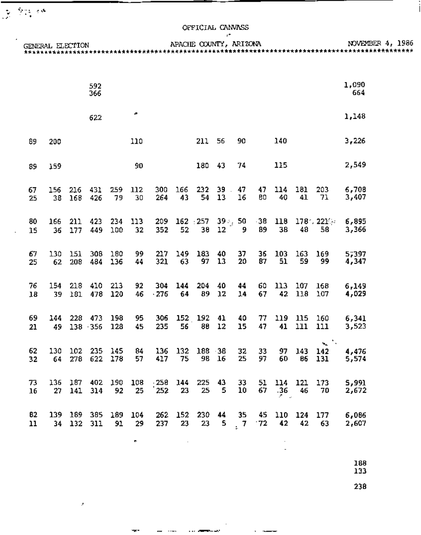$\frac{1}{\sqrt{2}}$  ,  $\frac{1}{\sqrt{2}}\frac{1}{\sqrt{2}}$  , and

 $\mathcal{A}$ 

|          |     |             |                            |                 |      |                        |                   |            | r* |          |     |         |                   |                                         |                        |                  |
|----------|-----|-------------|----------------------------|-----------------|------|------------------------|-------------------|------------|----|----------|-----|---------|-------------------|-----------------------------------------|------------------------|------------------|
|          |     |             |                            |                 |      |                        |                   |            |    |          |     |         |                   | GENERAL ELECTION APACHE COUNTY, ARIZONA |                        | NOVEMBER 4, 1986 |
|          |     |             |                            |                 |      |                        |                   |            |    |          |     |         |                   |                                         |                        |                  |
|          |     |             |                            |                 |      |                        |                   |            |    |          |     |         |                   |                                         |                        |                  |
|          |     |             |                            |                 |      |                        |                   |            |    |          |     |         |                   |                                         | 1,090                  |                  |
|          |     |             | 592<br>366                 |                 |      |                        |                   |            |    |          |     |         |                   |                                         | 664                    |                  |
|          |     |             |                            |                 |      |                        |                   |            |    |          |     |         |                   |                                         |                        |                  |
|          |     |             |                            |                 | æ.   |                        |                   |            |    |          |     |         |                   |                                         |                        |                  |
|          |     |             | 622                        |                 |      |                        |                   |            |    |          |     |         |                   |                                         | 1,148                  |                  |
|          |     |             |                            |                 |      |                        |                   |            |    |          |     |         |                   |                                         |                        |                  |
| 89       | 200 |             |                            |                 | 110  |                        |                   | 211        | 56 | 90       |     | 140     |                   |                                         | 3,226                  |                  |
|          |     |             |                            |                 |      |                        |                   |            |    |          |     |         |                   |                                         |                        |                  |
|          |     |             |                            |                 |      |                        |                   | 180 43     |    | 74       |     | 115     |                   |                                         | 2,549                  |                  |
| 89       | 159 |             |                            |                 | 90   |                        |                   |            |    |          |     |         |                   |                                         |                        |                  |
|          |     |             |                            |                 |      |                        |                   |            |    |          |     |         |                   |                                         |                        |                  |
| 67       | 156 | $216$ $431$ |                            | 259             | 112  |                        | 300 166 232 39 47 |            |    |          | 47. | 114     |                   | 181 203 6,708                           |                        |                  |
| 25       | 38  | 168         | 426                        | 79              | 30   | 264                    |                   | 43 54      | 13 | 16       | 80  | 40      | 41                | 71                                      | 3,407                  |                  |
|          |     |             |                            |                 |      |                        |                   |            |    |          |     |         |                   |                                         |                        |                  |
| 80       | 166 |             | 211 423                    | 234             | 113  |                        |                   |            |    |          |     |         |                   | 209 162 257 39 36 38 118 178 221 6,895  |                        |                  |
| 15       |     | 36 177      | 449                        | 100             | 32   | 352                    | 52                | 38 12 9    |    |          | 89  | 38      |                   | 48 58                                   | 3,366                  |                  |
|          |     |             |                            |                 |      |                        |                   |            |    |          |     |         |                   |                                         |                        |                  |
| 67       |     |             | 130 151 308 180            |                 | 99 - | 217                    |                   | 149 183 40 |    | 37.      | 36  |         |                   | 103 163 169                             | 5,397                  |                  |
| 25       |     | 62 208 484  |                            | 136             | 44   | 321                    | 63                | 97 13      |    | 20       | 87  | - 51    | 59                | 99                                      | 4,347                  |                  |
|          |     |             |                            |                 |      |                        |                   |            |    |          |     |         |                   |                                         |                        |                  |
|          |     |             |                            |                 |      |                        |                   |            |    |          |     |         |                   |                                         |                        |                  |
| 76<br>18 | 39. |             | 154 218 410 213<br>181 478 | 120             | 92   | 304<br>46 276 64 89 12 |                   | 144 204 40 |    | 44<br>14 | 67  | - 42    | 60 113 107<br>118 | 107                                     | $168$ $6,149$<br>4,029 |                  |
|          |     |             |                            |                 |      |                        |                   |            |    |          |     |         |                   |                                         |                        |                  |
|          |     |             |                            |                 |      |                        |                   |            |    |          |     |         |                   |                                         |                        |                  |
| 69       |     |             |                            | 144 228 473 198 | 95 - |                        |                   |            |    |          |     |         |                   | 306 152 192 41 40 77 119 115 160        | 6,341                  |                  |
| 21       | 49. |             | $138 - 356$                | 128             | 45.  | 235                    | 56                | 88         | 12 | 15       | 47  | 41      | 111               | 111                                     | 3,523                  |                  |
|          |     |             |                            |                 |      |                        |                   |            |    |          |     |         |                   | ъ. –                                    |                        |                  |
| 62       | 130 | 102         | 235                        | 145             | 84   | 136                    |                   | 132 188 38 |    | 32       | 33  | 97      | 143               | 142                                     | 4,476                  |                  |
| 32       | 64  | 278         | 622                        | 178             | 57   | 417                    | 75                | 98         | 16 | 25       | 97  | 60      | 86                | 131                                     | 5,574                  |                  |
|          |     |             |                            |                 |      |                        |                   |            |    |          |     |         |                   |                                         |                        |                  |
| 73       | 136 | 187         | 402                        | 190             | 108  | - 258                  | 144               | 225        | 43 | 33       | 51  |         | 114 121           | 173                                     | 5,991                  |                  |
| 16       | 27  | 141         | 314                        | 92              | 25   | 252                    | 23                | 25         | 5  | 10       | 67  | $-36$   | 46                | 70                                      | 2,672                  |                  |
|          |     |             |                            |                 |      |                        |                   |            |    |          |     |         |                   |                                         |                        |                  |
| 82       | 139 | 189         | 385                        | 189             | 104  | 262                    | 152               | 230        | 44 | 35       | 45  | 110 124 |                   | 177                                     | 6,086                  |                  |
| 11       | 34  | 132         | 311                        | 91              | 29   | 237                    | 23                | 23         | 5  | 7        | 72  | 42      | 42                | 63                                      | 2,607                  |                  |
|          |     |             |                            |                 |      |                        |                   |            |    |          |     |         |                   |                                         |                        |                  |

 $\tilde{\phantom{a}}$ 

ter i

 $\boldsymbol{J}$ 

 $\cdot$ 

and they are a supported

188<br>133

 $\overline{\phantom{a}}$ 

238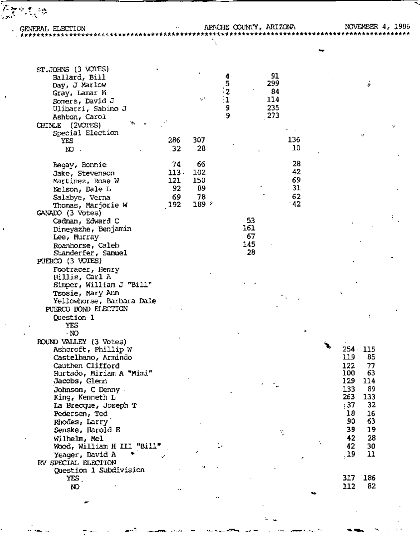Â,

 $\mathbf{1}$ 

w

 $\ddotsc$ 

্ৰিক্পাই<sub>ত</sub>ক

Ŧ.

| ST.JOHNS (3 VOTES)<br>Ballard, Bill<br>Day, J Marlow<br>Gray, Lamar N<br>Somers, David J<br>Ulibarri, Sabino J<br>Ashton, Carol<br>CHINLE (2VOTES)<br>Special Election<br>YES<br>NO.                                                                                                                                                                                                                                               | 286<br>32                               | re?<br>307<br>28                      | $\frac{4}{5}$<br>$\frac{2}{1}$<br>9<br>9 |                              | 91<br>299<br>84<br>114<br>235<br>273<br>136<br>10 | s.<br>q.                                                                                                                                                                              |
|------------------------------------------------------------------------------------------------------------------------------------------------------------------------------------------------------------------------------------------------------------------------------------------------------------------------------------------------------------------------------------------------------------------------------------|-----------------------------------------|---------------------------------------|------------------------------------------|------------------------------|---------------------------------------------------|---------------------------------------------------------------------------------------------------------------------------------------------------------------------------------------|
| Begay, Bonnie<br>Jake, Stevenson<br>Martinez, Rose W<br>Nelson, Dale L<br>Salabye, Verna<br>Thomas, Marjorie W<br>GANADO (3 Votes)<br>Cadman, Edward C<br>Dineyazhe, Benjamin<br>Lee, Murray<br>Roanhorse, Caleb<br>Standerfer, Samuel<br>PUERCO (3 VOTES)<br>Footracer, Henry<br>Hillis, Carl A<br>Simper, William J "Bill"<br>Tsosie, Mary Ann<br>Yellowhorse, Barbara Dale<br>PUERCO BOND ELECTION<br>Question 1<br>YES<br>- NO | 74<br>$113 -$<br>121<br>92<br>69<br>192 | 66<br>102<br>150<br>89<br>78<br>189 - |                                          | 53<br>161<br>67<br>145<br>28 | 28<br>42<br>69<br>31<br>62<br>$-42$               |                                                                                                                                                                                       |
| ROUND VALLEY (3 Votes)<br>Ashcroft, Phillip W<br>Castelhano, Armindo<br>Cauthen Clifford<br>Hurtado, Miriam A "Mimi"<br>Jacobs, Glenn<br>Johnson, C Denny<br>King, Kenneth L<br>La Brecque, Joseph T<br>Pedersen, Ted<br>Rhodes, Larry'<br>Senske, Harold E<br>Wilhelm, Mel<br>Wood, William H III "Bill"<br>Yeager, David A<br>RV SPECIAL ELECTION                                                                                |                                         |                                       |                                          |                              | Y.                                                | 254 115<br>119<br>85<br>122<br>77<br>63<br><b>TDO</b><br>129<br>114<br>133<br>89<br>263<br>133<br>32<br>:37<br>18<br>16<br>63<br>90<br>39<br>19<br>28<br>42<br>42<br>30<br>. 19<br>11 |
| Question 1 Subdivision<br>YES .<br>NO.                                                                                                                                                                                                                                                                                                                                                                                             | ٠.                                      |                                       |                                          |                              |                                                   | `186<br>317<br>82<br>112                                                                                                                                                              |

L.  $\mathbf{u}$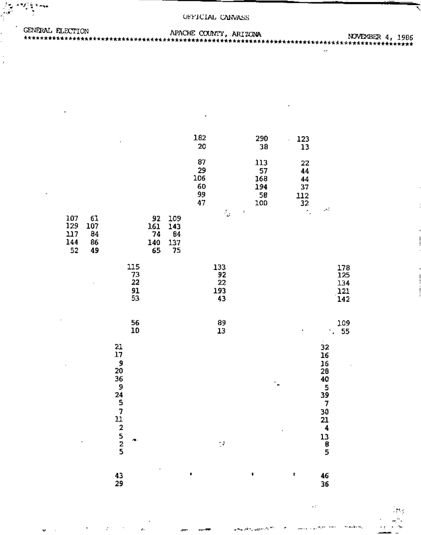| GENERAL FLECTION | APACHE COUNTY, ARIZONA |                  |  |
|------------------|------------------------|------------------|--|
|                  |                        | NOVEVBER 4, 1986 |  |
|                  |                        |                  |  |

|                                |                             |                                                       |                                    |                              |                               | 182<br>20                         |                              |                    | 290<br>38                            | 123<br>i,<br>13                          |                                                                                     |                                 |
|--------------------------------|-----------------------------|-------------------------------------------------------|------------------------------------|------------------------------|-------------------------------|-----------------------------------|------------------------------|--------------------|--------------------------------------|------------------------------------------|-------------------------------------------------------------------------------------|---------------------------------|
|                                |                             |                                                       |                                    |                              |                               | 87<br>29<br>106<br>60<br>99<br>47 |                              |                    | 113<br>57<br>168<br>194<br>58<br>100 | 22<br>44<br>44<br>37<br>$\frac{112}{32}$ |                                                                                     |                                 |
| 107<br>129<br>117<br>144<br>52 | 61<br>107<br>84<br>86<br>49 |                                                       |                                    | 92<br>161<br>74<br>140<br>65 | 109<br>143<br>84<br>137<br>75 |                                   | $\frac{1}{2}$                | 7                  |                                      | ×,                                       | Â.                                                                                  |                                 |
|                                |                             |                                                       | 115<br>$\frac{73}{22}$<br>91<br>53 |                              |                               |                                   | 133<br>92<br>22<br>193<br>43 |                    |                                      |                                          |                                                                                     | 178<br>125<br>134<br>121<br>142 |
|                                |                             |                                                       | 56<br>10                           |                              |                               |                                   | 89<br>13                     |                    |                                      |                                          |                                                                                     | 109<br>55<br>$\mathbf{r}$       |
|                                |                             | $\frac{21}{17}$<br>$\frac{9}{20}$<br>36<br>9457122525 |                                    |                              |                               |                                   | ţ.                           |                    | ۰,                                   |                                          | 32<br>16<br>16<br>28<br>40<br>5<br>39<br>7<br>30<br>21<br>4<br>13<br>$\bar{8}$<br>5 |                                 |
|                                |                             | 43<br>20                                              |                                    |                              |                               | ,                                 |                              | $\pmb{\Downarrow}$ |                                      | t                                        | 46<br>36.                                                                           |                                 |